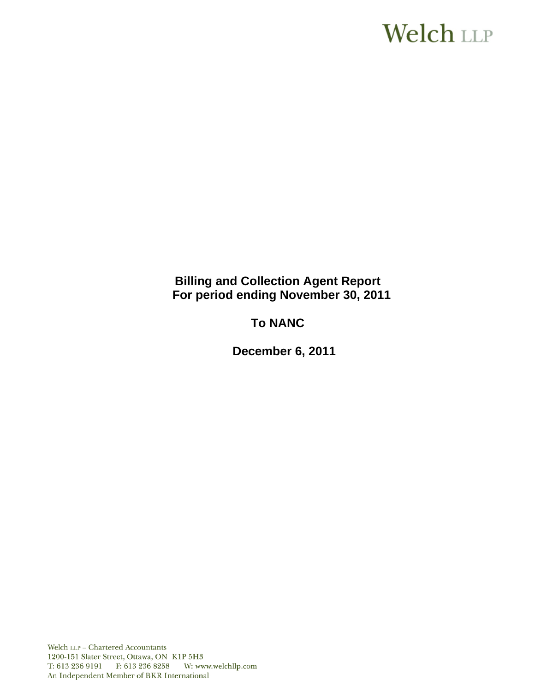# Welch LLP

# **Billing and Collection Agent Report For period ending November 30, 2011**

# **To NANC**

 **December 6, 2011**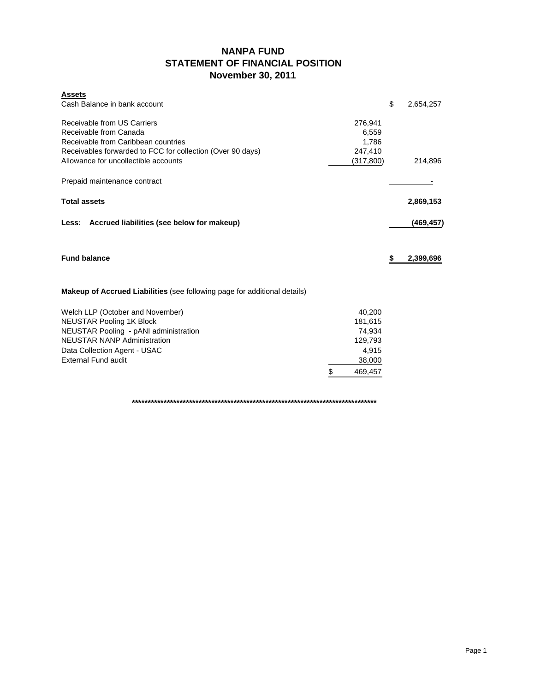# **NANPA FUND STATEMENT OF FINANCIAL POSITION November 30, 2011**

| \$<br>Cash Balance in bank account<br>Receivable from US Carriers<br>276,941<br>Receivable from Canada<br>6,559<br>Receivable from Caribbean countries<br>1,786<br>Receivables forwarded to FCC for collection (Over 90 days)<br>247,410<br>Allowance for uncollectible accounts<br>(317, 800)<br>Prepaid maintenance contract | 2,654,257<br>214,896 |
|--------------------------------------------------------------------------------------------------------------------------------------------------------------------------------------------------------------------------------------------------------------------------------------------------------------------------------|----------------------|
|                                                                                                                                                                                                                                                                                                                                |                      |
|                                                                                                                                                                                                                                                                                                                                |                      |
|                                                                                                                                                                                                                                                                                                                                |                      |
|                                                                                                                                                                                                                                                                                                                                |                      |
|                                                                                                                                                                                                                                                                                                                                |                      |
|                                                                                                                                                                                                                                                                                                                                |                      |
|                                                                                                                                                                                                                                                                                                                                |                      |
|                                                                                                                                                                                                                                                                                                                                |                      |
| <b>Total assets</b>                                                                                                                                                                                                                                                                                                            | 2,869,153            |
|                                                                                                                                                                                                                                                                                                                                |                      |
| Accrued liabilities (see below for makeup)<br>Less:                                                                                                                                                                                                                                                                            | (469,457)            |
|                                                                                                                                                                                                                                                                                                                                |                      |
|                                                                                                                                                                                                                                                                                                                                |                      |
|                                                                                                                                                                                                                                                                                                                                |                      |
| <b>Fund balance</b><br>\$                                                                                                                                                                                                                                                                                                      | 2,399,696            |
|                                                                                                                                                                                                                                                                                                                                |                      |
|                                                                                                                                                                                                                                                                                                                                |                      |
| <b>Makeup of Accrued Liabilities</b> (see following page for additional details)                                                                                                                                                                                                                                               |                      |
|                                                                                                                                                                                                                                                                                                                                |                      |
| Welch LLP (October and November)<br>40,200                                                                                                                                                                                                                                                                                     |                      |
| <b>NEUSTAR Pooling 1K Block</b><br>181,615                                                                                                                                                                                                                                                                                     |                      |
|                                                                                                                                                                                                                                                                                                                                |                      |
| NEUSTAR Pooling - pANI administration<br>74,934                                                                                                                                                                                                                                                                                |                      |
| <b>NEUSTAR NANP Administration</b><br>129,793                                                                                                                                                                                                                                                                                  |                      |
| Data Collection Agent - USAC<br>4,915                                                                                                                                                                                                                                                                                          |                      |
| External Fund audit<br>38,000                                                                                                                                                                                                                                                                                                  |                      |

**\*\*\*\*\*\*\*\*\*\*\*\*\*\*\*\*\*\*\*\*\*\*\*\*\*\*\*\*\*\*\*\*\*\*\*\*\*\*\*\*\*\*\*\*\*\*\*\*\*\*\*\*\*\*\*\*\*\*\*\*\*\*\*\*\*\*\*\*\*\*\*\*\*\*\*\*\***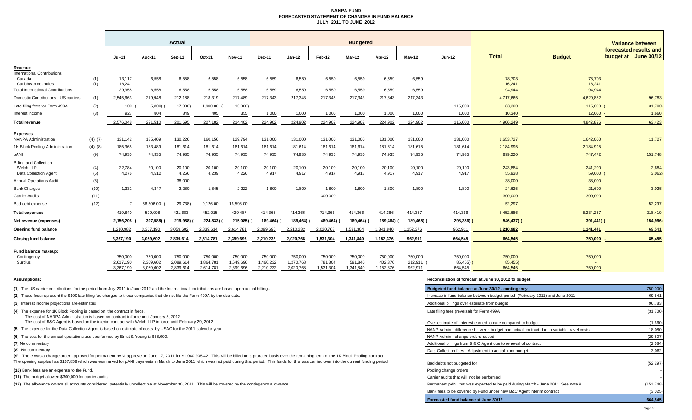### **NANPA FUND FORECASTED STATEMENT OF CHANGES IN FUND BALANCEJULY 2011 TO JUNE 2012**

|                                                                     |            | Actual                   |                                       |                      |                      |                                       | <b>Budgeted</b>      |                      |                    |                    |                    |                          |                          |                   | Variance between |                                                |  |
|---------------------------------------------------------------------|------------|--------------------------|---------------------------------------|----------------------|----------------------|---------------------------------------|----------------------|----------------------|--------------------|--------------------|--------------------|--------------------------|--------------------------|-------------------|------------------|------------------------------------------------|--|
|                                                                     |            | <b>Jul-11</b>            | Aug-11                                | Sep-11               | Oct-11               | <b>Nov-11</b>                         | <b>Dec-11</b>        | $Jan-12$             | Feb-12             | Mar-12             | Apr-12             | <b>Mav-12</b>            | $Jun-12$                 | <b>Total</b>      | <b>Budget</b>    | forecasted results and<br>budget at June 30/12 |  |
| <u>Revenue</u>                                                      |            |                          |                                       |                      |                      |                                       |                      |                      |                    |                    |                    |                          |                          |                   |                  |                                                |  |
| <b>International Contributions</b><br>Canada<br>Caribbean countries | (1)<br>(1) | 13,117<br>16,241         | 6,558<br>$\overline{\phantom{a}}$     | 6,558                | 6,558                | 6,558                                 | 6,559                | 6,559                | 6,559              | 6,559              | 6,559              | 6,559                    |                          | 78,703<br>16,241  | 78,703<br>16,241 |                                                |  |
| <b>Total International Contributions</b>                            |            | 29,358                   | 6,558                                 | 6,558                | 6,558                | 6,558                                 | 6,559                | 6,559                | 6,559              | 6,559              | 6.559              | 6,559                    |                          | 94,944            | 94,944           |                                                |  |
| Domestic Contributions - US carriers                                | (1)        | 2,545,663                | 219,948                               | 212,188              | 218,319              | 217,489                               | 217,343              | 217,343              | 217,343            | 217,343            | 217,343            | 217,343                  |                          | 4,717,665         | 4,620,882        | 96,783                                         |  |
| Late filing fees for Form 499A                                      | (2)        | 100                      | 5,800                                 | 17,900)              | 1,900.00             | 10,000                                |                      |                      |                    |                    |                    |                          | 115,000                  | 83,300            | 115,000          | 31,700)                                        |  |
| Interest income                                                     | (3)        | 927                      | 804                                   | 849                  | 405                  | 355                                   | 1,000                | 1,000                | 1,000              | 1,000              | 1,000              | 1,000                    | 1,000                    | 10,340            | 12,000           | 1,660                                          |  |
| Total revenue                                                       |            | 2.576.048                | 221.510                               | 201,695              | 227.182              | 214,402                               | 224.902              | 224,902              | 224,902            | 224,902            | 224.902            | 224,902                  | 116,000                  | 4.906.249         | 4,842,826        | 63,423                                         |  |
|                                                                     |            |                          |                                       |                      |                      |                                       |                      |                      |                    |                    |                    |                          |                          |                   |                  |                                                |  |
| <b>Expenses</b><br><b>NANPA Administration</b>                      | (4), (7)   | 131,142                  | 185,409                               | 130,226              | 160,156              | 129,794                               | 131,000              | 131,000              | 131,000            | 131,000            | 131,000            | 131,000                  | 131,000                  | 1,653,727         | 1,642,000        | 11,727                                         |  |
| 1K Block Pooling Administration                                     | (4), (8)   | 185,365                  | 183,489                               | 181,614              | 181,614              | 181,614                               | 181,614              | 181,614              | 181,614            | 181,614            | 181,614            | 181,615                  | 181,614                  | 2,184,995         | 2,184,995        |                                                |  |
| pANI                                                                | (9)        | 74,935                   | 74,935                                | 74,935               | 74,935               | 74,935                                | 74,935               | 74,935               | 74,935             | 74,935             | 74,935             | 74,935                   | 74,935                   | 899,220           | 747,472          | 151,748                                        |  |
| <b>Billing and Collection</b>                                       |            |                          |                                       |                      |                      |                                       |                      |                      |                    |                    |                    |                          |                          |                   |                  |                                                |  |
| Welch LLP                                                           | (4)        | 22,784                   | 20,100                                | 20,100               | 20,100               | 20,100                                | 20,100               | 20,100               | 20,100             | 20,100             | 20,100             | 20,100                   | 20,100                   | 243,884           | 241,200          | 2,684                                          |  |
| <b>Data Collection Agent</b>                                        | (5)        | 4,276                    | 4,512                                 | 4,266                | 4,239                | 4,226                                 | 4,917                | 4,917                | 4,917              | 4,917              | 4,917              | 4,917                    | 4,917                    | 55,938            | 59,000           | 3,062                                          |  |
| <b>Annual Operations Audit</b>                                      | (6)        | $\overline{\phantom{a}}$ | $\sim$                                | 38,000               | $\sim$               | $\sim$                                | $\sim$               | $\sim$               | $\sim$             | $\sim$             | $\sim$             |                          |                          | 38,000            | 38,000           |                                                |  |
| <b>Bank Charges</b>                                                 | (10)       | 1,331                    | 4,347                                 | 2,280                | 1,845                | 2,222                                 | 1,800                | 1,800                | 1,800              | 1,800              | 1,800              | 1,800                    | 1,800                    | 24,625            | 21,600           | 3,025                                          |  |
| Carrier Audits                                                      | (11)       |                          | $\overline{\phantom{a}}$<br>56,306.00 | $\sim$               |                      | $\overline{\phantom{a}}$<br>16,596.00 |                      |                      | 300,000            |                    |                    | $\overline{\phantom{a}}$ |                          | 300,000<br>52,297 | 300,000          | 52,297                                         |  |
| Bad debt expense                                                    | (12)       |                          |                                       | 29,738               | 9,126.00             |                                       |                      |                      |                    |                    |                    | $\overline{\phantom{a}}$ | $\overline{\phantom{a}}$ |                   |                  |                                                |  |
| <b>Total expenses</b>                                               |            | 419,840                  | 529,098                               | 421,683              | 452,015              | 429,487                               | 414,366              | 414,366              | 714,366            | 414,366            | 414,366            | 414,367                  | 414,366                  | 5,452,686         | 5,234,267        | 218,419                                        |  |
| Net revenue (expenses)                                              |            | 2,156,208                | 307,588) (                            | 219,988)             | 224,833)             | 215,085)                              | 189,464)             | 189,464)             | 489,464)           | 189,464) (         | 189,464)           | 189,465)                 | 298,366)                 | $546,437$ )       | 391,441) (       | 154,996                                        |  |
| Opening fund balance                                                |            | 1,210,982                | 3,367,190                             | 3,059,602            | 2,839,614            | 2,614,781                             | 2,399,696            | 2,210,232            | 2,020,768          | 1,531,304          | 1,341,840          | 1,152,376                | 962,911                  | 1,210,982         | 1,141,441        | 69,541                                         |  |
| <b>Closing fund balance</b>                                         |            | 3,367,190                | 3,059,602                             | 2,839,614            | 2,614,781            | 2,399,696                             | 2,210,232            | 2,020,768            | 1,531,304          | 1,341,840          | 1,152,376          | 962,911                  | 664,545                  | 664,545           | 750,000          | 85,455                                         |  |
| Fund balance makeup:                                                |            |                          |                                       |                      |                      |                                       |                      |                      |                    |                    |                    |                          |                          |                   |                  |                                                |  |
| Contingency<br>Surplus                                              |            | 750,000<br>2,617,190     | 750,000<br>2,309,602                  | 750,000<br>2,089,614 | 750,000<br>1,864,781 | 750,000<br>1,649,696                  | 750,000<br>1,460,232 | 750,000<br>1,270,768 | 750,000<br>781,304 | 750,000<br>591,840 | 750,000<br>402,376 | 750,000<br>212,911       | 750,000<br>85,455)       | 750,000<br>85,455 | 750,000          |                                                |  |
|                                                                     |            | 3,367,190                | 3,059,602                             | 2,839,614            | 2,614,781            | 2,399,696                             | 2,210,232            | 2,020,768            | 1,531,304          | 1,341,840          | 1,152,376          | 962.911                  | 664,545                  | 664,545           | 750,000          |                                                |  |

#### **(10)** Bank fees are an expense to the Fund.

#### **Assumptions: Reconciliation of forecast at June 30, 2012 to budget**

| (1) The US carrier contributions for the period from July 2011 to June 2012 and the International contributions are based upon actual billings.                                                                                                                                                                                                                                                                       | Budgeted fund balance at June 30/12 - contingency                                       | 750,000    |
|-----------------------------------------------------------------------------------------------------------------------------------------------------------------------------------------------------------------------------------------------------------------------------------------------------------------------------------------------------------------------------------------------------------------------|-----------------------------------------------------------------------------------------|------------|
| (2) These fees represent the \$100 late filing fee charged to those companies that do not file the Form 499A by the due date.                                                                                                                                                                                                                                                                                         | Increase in fund balance between budget period (February 2011) and June 2011            | 69,541     |
| (3) Interest income projections are estimates                                                                                                                                                                                                                                                                                                                                                                         | Additional billings over estimate from budget                                           | 96,783     |
| (4) The expense for 1K Block Pooling is based on the contract in force.<br>The cost of NANPA Administration is based on contract in force until January 8, 2012.                                                                                                                                                                                                                                                      | Late filing fees (reversal) for Form 499A                                               | (31,700)   |
| The cost of B&C Agent is based on the interim contract with Welch LLP in force until February 29, 2012.                                                                                                                                                                                                                                                                                                               | Over estimate of interest earned to date compared to budget                             | (1,660)    |
| (5) The expense for the Data Collection Agent is based on estimate of costs by USAC for the 2011 calendar year.                                                                                                                                                                                                                                                                                                       | NANP Admin - difference between budget and actual contract due to variable travel costs | 18,080     |
| (6) The cost for the annual operations audit performed by Ernst & Young is \$38,000.                                                                                                                                                                                                                                                                                                                                  | NANP Admin - change orders issued                                                       | (29, 807)  |
| (7) No commentary                                                                                                                                                                                                                                                                                                                                                                                                     | Additional billings from B & C Agent due to renewal of contract                         | (2,684)    |
| (8) No commentary                                                                                                                                                                                                                                                                                                                                                                                                     | Data Collection fees - Adjustment to actual from budget                                 | 3,062      |
| (9) There was a change order approved for permanent pANI approve on June 17, 2011 for \$1,040,905.42. This will be billed on a prorated basis over the remaining term of the 1K Block Pooling contract.<br>The opening surplus has \$167,858 which was earmarked for pANI payments in March to June 2011 which was not paid during that period. This funds for this was carried over into the current funding period. | Bad debts not budgeted for                                                              | (52, 297)  |
| (10) Bank fees are an expense to the Fund.                                                                                                                                                                                                                                                                                                                                                                            | Pooling change orders                                                                   |            |
| (11) The budget allowed \$300,000 for carrier audits.                                                                                                                                                                                                                                                                                                                                                                 | Carrier audits that will not be performed                                               |            |
| (12) The allowance covers all accounts considered potentially uncollectible at November 30, 2011. This will be covered by the contingency allowance.                                                                                                                                                                                                                                                                  | Permanent pANi that was expected to be paid during March - June 2011. See note 9.       | (151, 748) |
|                                                                                                                                                                                                                                                                                                                                                                                                                       | Bank fees to be covered by Fund under new B&C Agent interim contract                    | (3,025)    |
|                                                                                                                                                                                                                                                                                                                                                                                                                       | Forecasted fund balance at June 30/12                                                   | 664,545    |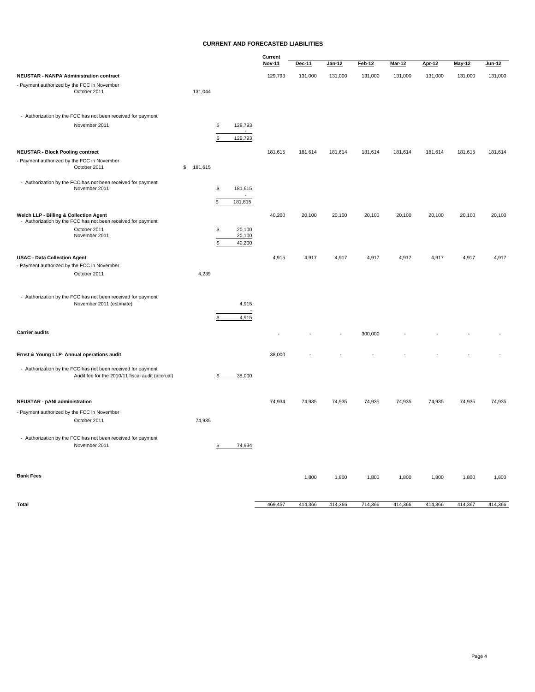### **CURRENT AND FORECASTED LIABILITIES**

|                                                                                                                  |               |                        | Current |         |         |               |               |               |               |         |
|------------------------------------------------------------------------------------------------------------------|---------------|------------------------|---------|---------|---------|---------------|---------------|---------------|---------------|---------|
|                                                                                                                  |               |                        | Nov-11  | Dec-11  | Jan-12  | <b>Feb-12</b> | <b>Mar-12</b> | <b>Apr-12</b> | <b>May-12</b> | Jun-12  |
| <b>NEUSTAR - NANPA Administration contract</b>                                                                   |               |                        | 129,793 | 131,000 | 131,000 | 131,000       | 131,000       | 131,000       | 131,000       | 131,000 |
| - Payment authorized by the FCC in November<br>October 2011                                                      | 131,044       |                        |         |         |         |               |               |               |               |         |
| - Authorization by the FCC has not been received for payment                                                     |               |                        |         |         |         |               |               |               |               |         |
| November 2011                                                                                                    |               | \$<br>129,793          |         |         |         |               |               |               |               |         |
|                                                                                                                  |               | 129,793<br>\$          |         |         |         |               |               |               |               |         |
| <b>NEUSTAR - Block Pooling contract</b>                                                                          |               |                        | 181,615 | 181,614 | 181,614 | 181,614       | 181,614       | 181,614       | 181,615       | 181,614 |
| - Payment authorized by the FCC in November<br>October 2011                                                      | 181,615<br>\$ |                        |         |         |         |               |               |               |               |         |
| - Authorization by the FCC has not been received for payment<br>November 2011                                    |               | \$<br>181,615          |         |         |         |               |               |               |               |         |
|                                                                                                                  |               | \$<br>181,615          |         |         |         |               |               |               |               |         |
| Welch LLP - Billing & Collection Agent<br>- Authorization by the FCC has not been received for payment           |               |                        | 40,200  | 20,100  | 20,100  | 20,100        | 20,100        | 20,100        | 20,100        | 20,100  |
| October 2011                                                                                                     |               | \$<br>20,100           |         |         |         |               |               |               |               |         |
| November 2011                                                                                                    |               | 20,100<br>\$<br>40,200 |         |         |         |               |               |               |               |         |
|                                                                                                                  |               |                        |         |         |         |               |               |               |               |         |
| <b>USAC - Data Collection Agent</b><br>- Payment authorized by the FCC in November                               |               |                        | 4,915   | 4,917   | 4,917   | 4,917         | 4,917         | 4,917         | 4,917         | 4,917   |
| October 2011                                                                                                     | 4,239         |                        |         |         |         |               |               |               |               |         |
| - Authorization by the FCC has not been received for payment                                                     |               |                        |         |         |         |               |               |               |               |         |
| November 2011 (estimate)                                                                                         |               | 4,915                  |         |         |         |               |               |               |               |         |
|                                                                                                                  |               | 4,915<br>\$            |         |         |         |               |               |               |               |         |
| <b>Carrier audits</b>                                                                                            |               |                        |         |         |         | 300,000       |               |               |               |         |
| Ernst & Young LLP- Annual operations audit                                                                       |               |                        | 38,000  |         |         |               |               |               |               |         |
| - Authorization by the FCC has not been received for payment<br>Audit fee for the 2010/11 fiscal audit (accrual) |               | \$<br>38,000           |         |         |         |               |               |               |               |         |
| <b>NEUSTAR - pANI administration</b>                                                                             |               |                        | 74,934  | 74,935  | 74,935  | 74,935        | 74,935        | 74,935        | 74,935        | 74,935  |
| - Payment authorized by the FCC in November                                                                      |               |                        |         |         |         |               |               |               |               |         |
| October 2011                                                                                                     | 74,935        |                        |         |         |         |               |               |               |               |         |
| - Authorization by the FCC has not been received for payment<br>November 2011                                    |               | \$<br>74,934           |         |         |         |               |               |               |               |         |
| <b>Bank Fees</b>                                                                                                 |               |                        |         | 1,800   | 1,800   | 1,800         | 1,800         | 1,800         | 1,800         | 1,800   |
|                                                                                                                  |               |                        |         |         |         |               |               |               |               |         |

**Total** 469,457 414,366 414,366 414,366 414,366 414,366 414,366 414,366 414,366 414,367 414,366